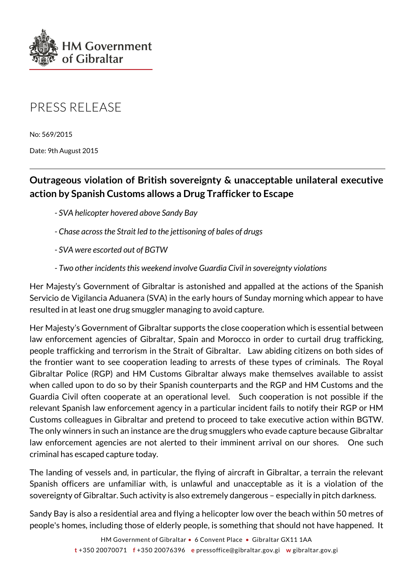

## PRESS RELEASE

No: 569/2015

Date: 9th August 2015

## **Outrageous violation of British sovereignty & unacceptable unilateral executive action by Spanish Customs allows a Drug Trafficker to Escape**

- *SVA helicopter hovered above Sandy Bay*
- *Chase across the Strait led to the jettisoning of bales of drugs*
- *SVA were escorted out of BGTW*
- *Two other incidents this weekend involve Guardia Civil in sovereignty violations*

Her Majesty's Government of Gibraltar is astonished and appalled at the actions of the Spanish Servicio de Vigilancia Aduanera (SVA) in the early hours of Sunday morning which appear to have resulted in at least one drug smuggler managing to avoid capture.

Her Majesty's Government of Gibraltar supports the close cooperation which is essential between law enforcement agencies of Gibraltar, Spain and Morocco in order to curtail drug trafficking, people trafficking and terrorism in the Strait of Gibraltar. Law abiding citizens on both sides of the frontier want to see cooperation leading to arrests of these types of criminals. The Royal Gibraltar Police (RGP) and HM Customs Gibraltar always make themselves available to assist when called upon to do so by their Spanish counterparts and the RGP and HM Customs and the Guardia Civil often cooperate at an operational level. Such cooperation is not possible if the relevant Spanish law enforcement agency in a particular incident fails to notify their RGP or HM Customs colleagues in Gibraltar and pretend to proceed to take executive action within BGTW. The only winners in such an instance are the drug smugglers who evade capture because Gibraltar law enforcement agencies are not alerted to their imminent arrival on our shores. One such criminal has escaped capture today.

The landing of vessels and, in particular, the flying of aircraft in Gibraltar, a terrain the relevant Spanish officers are unfamiliar with, is unlawful and unacceptable as it is a violation of the sovereignty of Gibraltar. Such activity is also extremely dangerous – especially in pitch darkness.

Sandy Bay is also a residential area and flying a helicopter low over the beach within 50 metres of people's homes, including those of elderly people, is something that should not have happened. It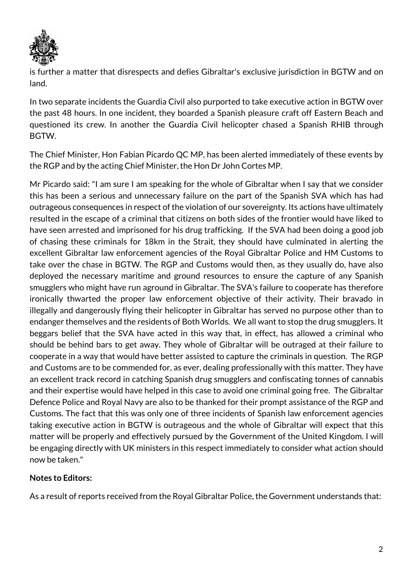

is further a matter that disrespects and defies Gibraltar's exclusive jurisdiction in BGTW and on land.

In two separate incidents the Guardia Civil also purported to take executive action in BGTW over the past 48 hours. In one incident, they boarded a Spanish pleasure craft off Eastern Beach and questioned its crew. In another the Guardia Civil helicopter chased a Spanish RHIB through BGTW.

The Chief Minister, Hon Fabian Picardo QC MP, has been alerted immediately of these events by the RGP and by the acting Chief Minister, the Hon Dr John Cortes MP.

Mr Picardo said: "I am sure I am speaking for the whole of Gibraltar when I say that we consider this has been a serious and unnecessary failure on the part of the Spanish SVA which has had outrageous consequences in respect of the violation of our sovereignty. Its actions have ultimately resulted in the escape of a criminal that citizens on both sides of the frontier would have liked to have seen arrested and imprisoned for his drug trafficking. If the SVA had been doing a good job of chasing these criminals for 18km in the Strait, they should have culminated in alerting the excellent Gibraltar law enforcement agencies of the Royal Gibraltar Police and HM Customs to take over the chase in BGTW. The RGP and Customs would then, as they usually do, have also deployed the necessary maritime and ground resources to ensure the capture of any Spanish smugglers who might have run aground in Gibraltar. The SVA's failure to cooperate has therefore ironically thwarted the proper law enforcement objective of their activity. Their bravado in illegally and dangerously flying their helicopter in Gibraltar has served no purpose other than to endanger themselves and the residents of Both Worlds. We all want to stop the drug smugglers. It beggars belief that the SVA have acted in this way that, in effect, has allowed a criminal who should be behind bars to get away. They whole of Gibraltar will be outraged at their failure to cooperate in a way that would have better assisted to capture the criminals in question. The RGP and Customs are to be commended for, as ever, dealing professionally with this matter. They have an excellent track record in catching Spanish drug smugglers and confiscating tonnes of cannabis and their expertise would have helped in this case to avoid one criminal going free. The Gibraltar Defence Police and Royal Navy are also to be thanked for their prompt assistance of the RGP and Customs. The fact that this was only one of three incidents of Spanish law enforcement agencies taking executive action in BGTW is outrageous and the whole of Gibraltar will expect that this matter will be properly and effectively pursued by the Government of the United Kingdom. I will be engaging directly with UK ministers in this respect immediately to consider what action should now be taken."

## **Notes to Editors:**

As a result of reports received from the Royal Gibraltar Police, the Government understands that: